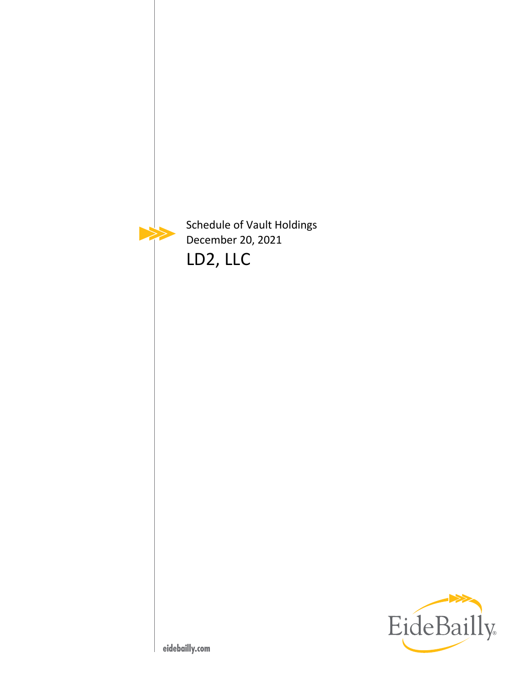

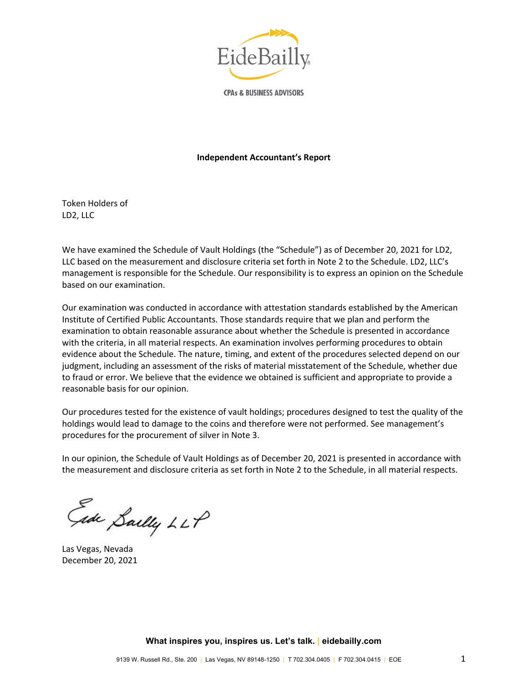

**CPAs & BUSINESS ADVISORS** 

#### **Independent Accountant's Report**

Token Holders of LD2, LLC

We have examined the Schedule of Vault Holdings (the "Schedule") as of December 20, 2021 for LD2, LLC based on the measurement and disclosure criteria set forth in Note 2 to the Schedule. LD2, LLC's management is responsible for the Schedule. Our responsibility is to express an opinion on the Schedule based on our examination.

Our examination was conducted in accordance with attestation standards established by the American Institute of Certified Public Accountants. Those standards require that we plan and perform the examination to obtain reasonable assurance about whether the Schedule is presented in accordance with the criteria, in all material respects. An examination involves performing procedures to obtain evidence about the Schedule. The nature, timing, and extent of the procedures selected depend on our judgment, including an assessment of the risks of material misstatement of the Schedule, whether due to fraud or error. We believe that the evidence we obtained is sufficient and appropriate to provide a reasonable basis for our opinion.

Our procedures tested for the existence of vault holdings; procedures designed to test the quality of the holdings would lead to damage to the coins and therefore were not performed. See management's procedures for the procurement of silver in Note 3.

In our opinion, the Schedule of Vault Holdings as of December 20, 2021 is presented in accordance with the measurement and disclosure criteria as set forth in Note 2 to the Schedule, in all material respects.

Gade Sailly LLP

Las Vegas, Nevada December 20, 2021

**What inspires you, inspires us. Let's talk. | eidebailly.com**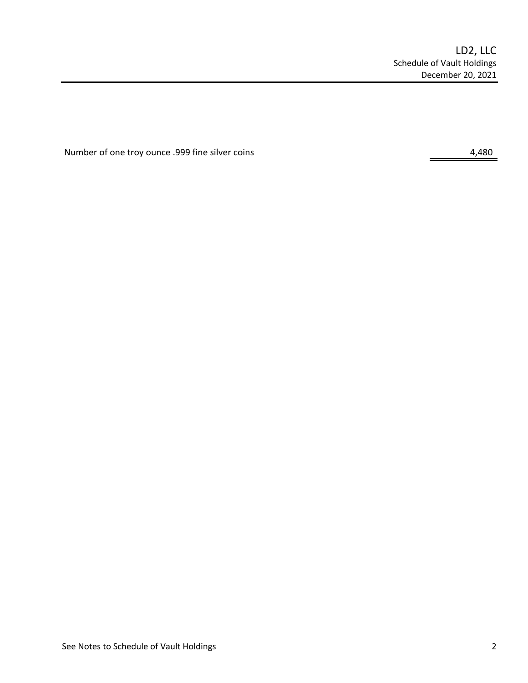Number of one troy ounce .999 fine silver coins 4,480